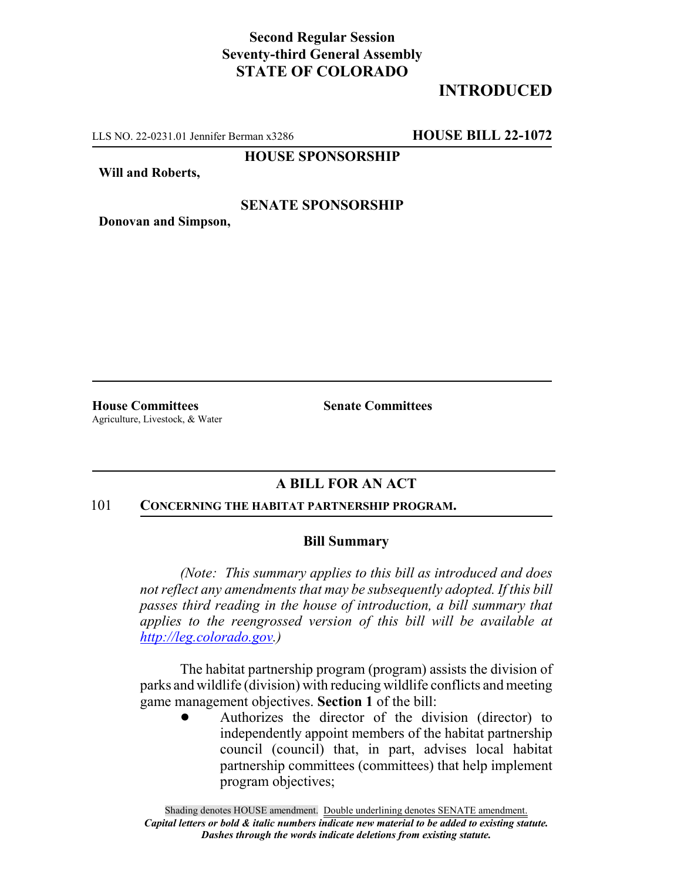# **Second Regular Session Seventy-third General Assembly STATE OF COLORADO**

# **INTRODUCED**

LLS NO. 22-0231.01 Jennifer Berman x3286 **HOUSE BILL 22-1072**

**HOUSE SPONSORSHIP**

**Will and Roberts,**

### **SENATE SPONSORSHIP**

**Donovan and Simpson,**

**House Committees Senate Committees** Agriculture, Livestock, & Water

## **A BILL FOR AN ACT**

#### 101 **CONCERNING THE HABITAT PARTNERSHIP PROGRAM.**

## **Bill Summary**

*(Note: This summary applies to this bill as introduced and does not reflect any amendments that may be subsequently adopted. If this bill passes third reading in the house of introduction, a bill summary that applies to the reengrossed version of this bill will be available at http://leg.colorado.gov.)*

The habitat partnership program (program) assists the division of parks and wildlife (division) with reducing wildlife conflicts and meeting game management objectives. **Section 1** of the bill:

> ! Authorizes the director of the division (director) to independently appoint members of the habitat partnership council (council) that, in part, advises local habitat partnership committees (committees) that help implement program objectives;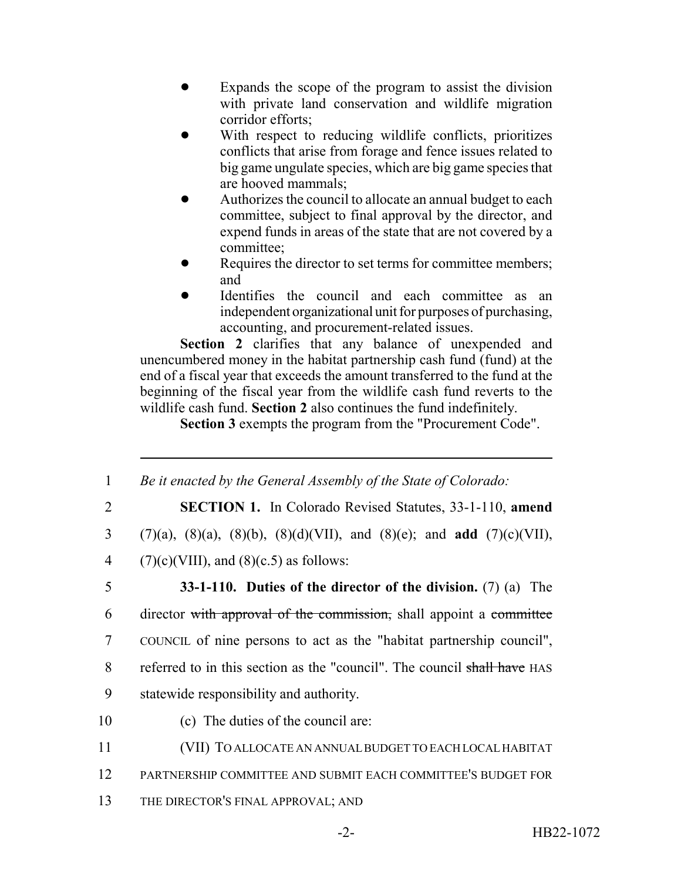- Expands the scope of the program to assist the division with private land conservation and wildlife migration corridor efforts;
- With respect to reducing wildlife conflicts, prioritizes conflicts that arise from forage and fence issues related to big game ungulate species, which are big game species that are hooved mammals;
- Authorizes the council to allocate an annual budget to each committee, subject to final approval by the director, and expend funds in areas of the state that are not covered by a committee;
- Requires the director to set terms for committee members; and
- Identifies the council and each committee as an independent organizational unit for purposes of purchasing, accounting, and procurement-related issues.

Section 2 clarifies that any balance of unexpended and unencumbered money in the habitat partnership cash fund (fund) at the end of a fiscal year that exceeds the amount transferred to the fund at the beginning of the fiscal year from the wildlife cash fund reverts to the wildlife cash fund. **Section 2** also continues the fund indefinitely.

**Section 3** exempts the program from the "Procurement Code".

 *Be it enacted by the General Assembly of the State of Colorado:* **SECTION 1.** In Colorado Revised Statutes, 33-1-110, **amend** (7)(a), (8)(a), (8)(b), (8)(d)(VII), and (8)(e); and **add** (7)(c)(VII), 4 (7)(c)(VIII), and (8)(c.5) as follows: **33-1-110. Duties of the director of the division.** (7) (a) The 6 director with approval of the commission, shall appoint a committee COUNCIL of nine persons to act as the "habitat partnership council", 8 referred to in this section as the "council". The council shall have HAS statewide responsibility and authority. (c) The duties of the council are: (VII) TO ALLOCATE AN ANNUAL BUDGET TO EACH LOCAL HABITAT PARTNERSHIP COMMITTEE AND SUBMIT EACH COMMITTEE'S BUDGET FOR 13 THE DIRECTOR'S FINAL APPROVAL; AND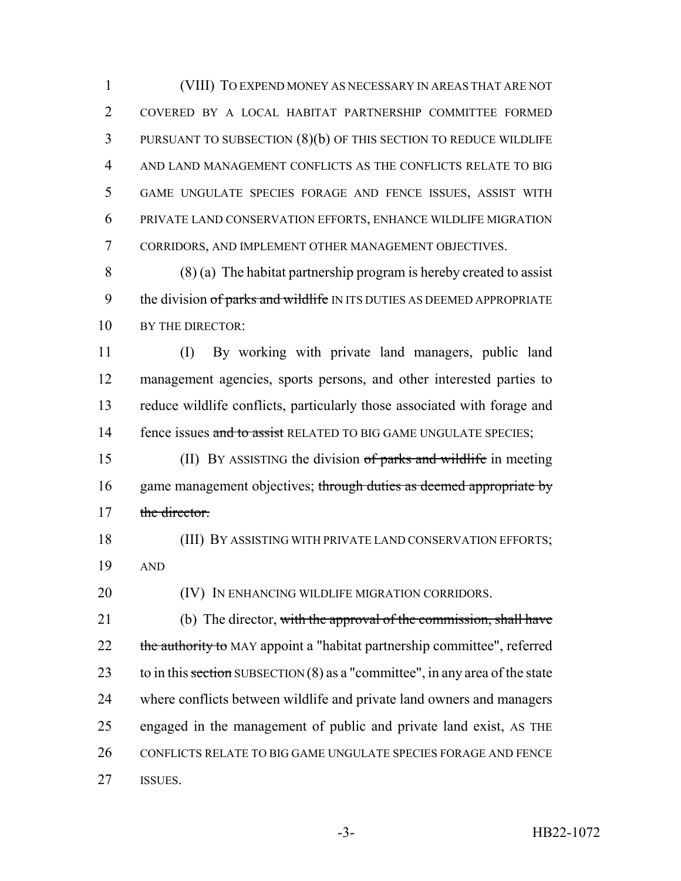(VIII) TO EXPEND MONEY AS NECESSARY IN AREAS THAT ARE NOT COVERED BY A LOCAL HABITAT PARTNERSHIP COMMITTEE FORMED PURSUANT TO SUBSECTION (8)(b) OF THIS SECTION TO REDUCE WILDLIFE AND LAND MANAGEMENT CONFLICTS AS THE CONFLICTS RELATE TO BIG GAME UNGULATE SPECIES FORAGE AND FENCE ISSUES, ASSIST WITH PRIVATE LAND CONSERVATION EFFORTS, ENHANCE WILDLIFE MIGRATION CORRIDORS, AND IMPLEMENT OTHER MANAGEMENT OBJECTIVES.

 (8) (a) The habitat partnership program is hereby created to assist 9 the division of parks and wildlife IN ITS DUTIES AS DEEMED APPROPRIATE 10 BY THE DIRECTOR:

 (I) By working with private land managers, public land management agencies, sports persons, and other interested parties to reduce wildlife conflicts, particularly those associated with forage and 14 fence issues and to assist RELATED TO BIG GAME UNGULATE SPECIES;

15 (II) BY ASSISTING the division of parks and wildlife in meeting 16 game management objectives; through duties as deemed appropriate by 17 the director.

 (III) BY ASSISTING WITH PRIVATE LAND CONSERVATION EFFORTS; AND

**(IV)** IN ENHANCING WILDLIFE MIGRATION CORRIDORS.

21 (b) The director, with the approval of the commission, shall have 22 the authority to MAY appoint a "habitat partnership committee", referred 23 to in this section SUBSECTION  $(8)$  as a "committee", in any area of the state where conflicts between wildlife and private land owners and managers engaged in the management of public and private land exist, AS THE 26 CONFLICTS RELATE TO BIG GAME UNGULATE SPECIES FORAGE AND FENCE ISSUES.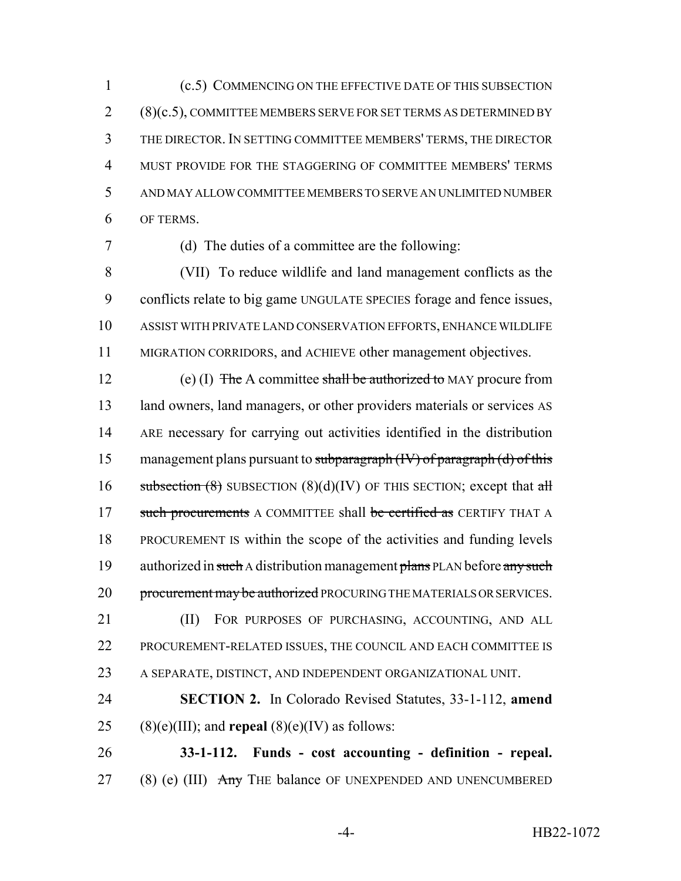(c.5) COMMENCING ON THE EFFECTIVE DATE OF THIS SUBSECTION (8)(c.5), COMMITTEE MEMBERS SERVE FOR SET TERMS AS DETERMINED BY THE DIRECTOR. IN SETTING COMMITTEE MEMBERS' TERMS, THE DIRECTOR MUST PROVIDE FOR THE STAGGERING OF COMMITTEE MEMBERS' TERMS AND MAY ALLOW COMMITTEE MEMBERS TO SERVE AN UNLIMITED NUMBER OF TERMS.

(d) The duties of a committee are the following:

 (VII) To reduce wildlife and land management conflicts as the conflicts relate to big game UNGULATE SPECIES forage and fence issues, ASSIST WITH PRIVATE LAND CONSERVATION EFFORTS, ENHANCE WILDLIFE MIGRATION CORRIDORS, and ACHIEVE other management objectives.

12 (e) (I) The A committee shall be authorized to MAY procure from 13 land owners, land managers, or other providers materials or services AS ARE necessary for carrying out activities identified in the distribution 15 management plans pursuant to subparagraph (IV) of paragraph (d) of this 16 subsection  $(8)$  SUBSECTION  $(8)(d)(IV)$  OF THIS SECTION; except that all 17 such procurements A COMMITTEE shall be certified as CERTIFY THAT A PROCUREMENT IS within the scope of the activities and funding levels 19 authorized in such A distribution management  $\frac{1}{n}$  PLAN before  $\frac{1}{n}$  where  $\frac{1}{n}$ 20 procurement may be authorized PROCURING THE MATERIALS OR SERVICES. 21 (II) FOR PURPOSES OF PURCHASING, ACCOUNTING, AND ALL

 PROCUREMENT-RELATED ISSUES, THE COUNCIL AND EACH COMMITTEE IS A SEPARATE, DISTINCT, AND INDEPENDENT ORGANIZATIONAL UNIT.

 **SECTION 2.** In Colorado Revised Statutes, 33-1-112, **amend** 25 (8)(e)(III); and **repeal** (8)(e)(IV) as follows:

 **33-1-112. Funds - cost accounting - definition - repeal.** 27 (8) (e) (III)  $\overrightarrow{Any}$  The balance OF UNEXPENDED AND UNENCUMBERED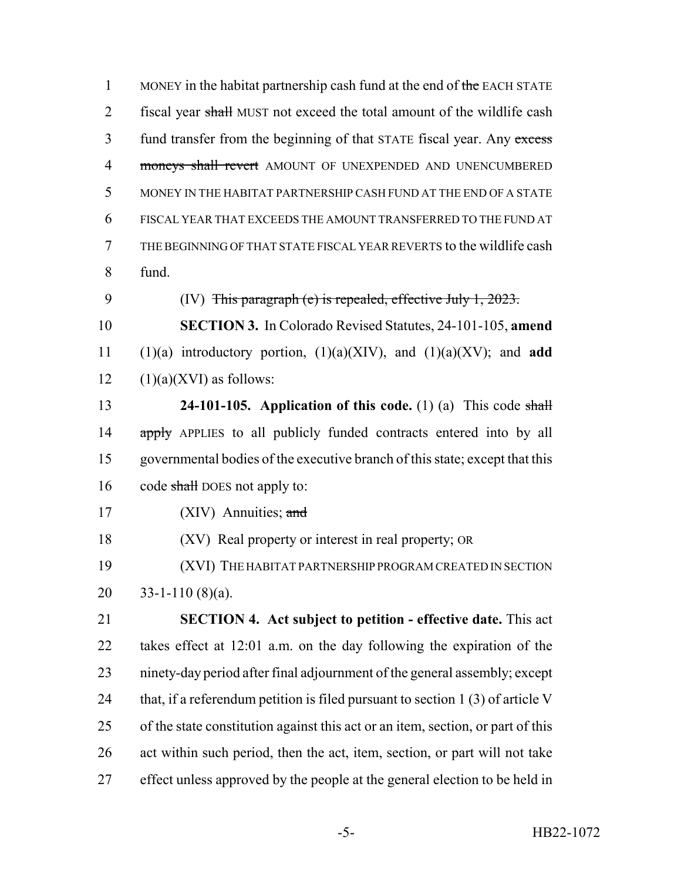1 MONEY in the habitat partnership cash fund at the end of the EACH STATE 2 fiscal year shall MUST not exceed the total amount of the wildlife cash 3 fund transfer from the beginning of that STATE fiscal year. Any excess 4 moneys shall revert AMOUNT OF UNEXPENDED AND UNENCUMBERED MONEY IN THE HABITAT PARTNERSHIP CASH FUND AT THE END OF A STATE FISCAL YEAR THAT EXCEEDS THE AMOUNT TRANSFERRED TO THE FUND AT THE BEGINNING OF THAT STATE FISCAL YEAR REVERTS to the wildlife cash fund. (IV) This paragraph (e) is repealed, effective July 1, 2023. **SECTION 3.** In Colorado Revised Statutes, 24-101-105, **amend** (1)(a) introductory portion, (1)(a)(XIV), and (1)(a)(XV); and **add**  $12 \qquad (1)(a)(XVI)$  as follows: **24-101-105. Application of this code.** (1) (a) This code shall 14 apply APPLIES to all publicly funded contracts entered into by all governmental bodies of the executive branch of this state; except that this 16 code shall DOES not apply to: 17 (XIV) Annuities; and (XV) Real property or interest in real property; OR (XVI) THE HABITAT PARTNERSHIP PROGRAM CREATED IN SECTION  $33-1-110(8)(a)$ . **SECTION 4. Act subject to petition - effective date.** This act takes effect at 12:01 a.m. on the day following the expiration of the ninety-day period after final adjournment of the general assembly; except

24 that, if a referendum petition is filed pursuant to section 1 (3) of article V of the state constitution against this act or an item, section, or part of this act within such period, then the act, item, section, or part will not take effect unless approved by the people at the general election to be held in